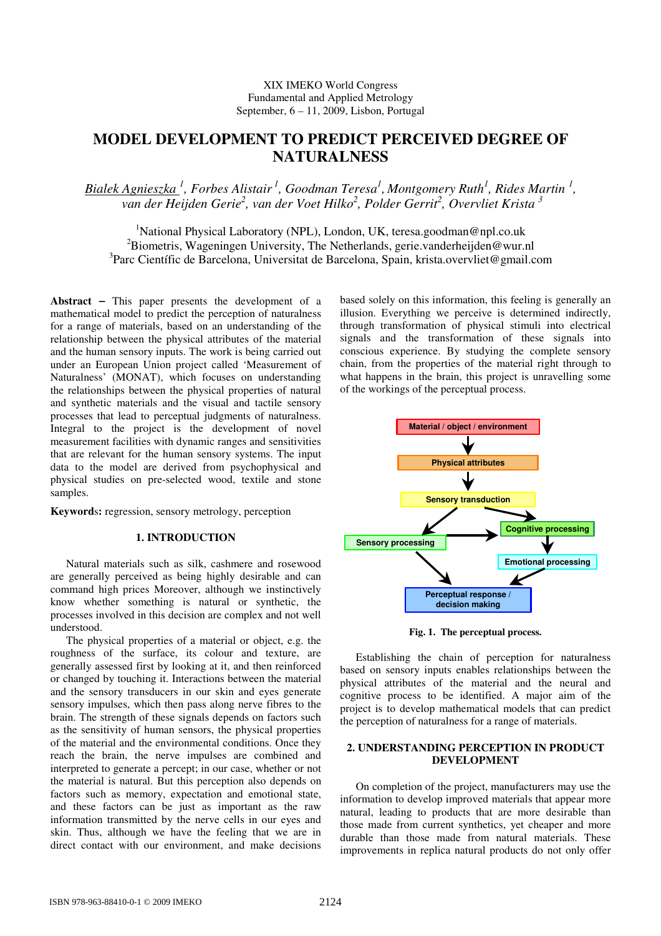# **MODEL DEVELOPMENT TO PREDICT PERCEIVED DEGREE OF NATURALNESS**

*Bialek Agnieszka <sup>1</sup> , Forbes Alistair<sup>1</sup>, Goodman Teresa<sup>1</sup> , Montgomery Ruth<sup>1</sup> , Rides Martin <sup>1</sup> , van der Heijden Gerie<sup>2</sup> , van der Voet Hilko<sup>2</sup> , Polder Gerrit<sup>2</sup> , Overvliet Krista <sup>3</sup>*

<sup>1</sup>National Physical Laboratory (NPL), London, UK, teresa.goodman@npl.co.uk <sup>2</sup>Biometris, Wageningen University, The Netherlands, gerie.vanderheijden@wur.nl <sup>3</sup>Parc Científic de Barcelona, Universitat de Barcelona, Spain, krista.overvliet@gmail.com

**Abstract** − This paper presents the development of a mathematical model to predict the perception of naturalness for a range of materials, based on an understanding of the relationship between the physical attributes of the material and the human sensory inputs. The work is being carried out under an European Union project called 'Measurement of Naturalness' (MONAT), which focuses on understanding the relationships between the physical properties of natural and synthetic materials and the visual and tactile sensory processes that lead to perceptual judgments of naturalness. Integral to the project is the development of novel measurement facilities with dynamic ranges and sensitivities that are relevant for the human sensory systems. The input data to the model are derived from psychophysical and physical studies on pre-selected wood, textile and stone samples.

**Keyword**s**:** regression, sensory metrology, perception

# **1. INTRODUCTION**

Natural materials such as silk, cashmere and rosewood are generally perceived as being highly desirable and can command high prices Moreover, although we instinctively know whether something is natural or synthetic, the processes involved in this decision are complex and not well understood.

The physical properties of a material or object, e.g. the roughness of the surface, its colour and texture, are generally assessed first by looking at it, and then reinforced or changed by touching it. Interactions between the material and the sensory transducers in our skin and eyes generate sensory impulses, which then pass along nerve fibres to the brain. The strength of these signals depends on factors such as the sensitivity of human sensors, the physical properties of the material and the environmental conditions. Once they reach the brain, the nerve impulses are combined and interpreted to generate a percept; in our case, whether or not the material is natural. But this perception also depends on factors such as memory, expectation and emotional state, and these factors can be just as important as the raw information transmitted by the nerve cells in our eyes and skin. Thus, although we have the feeling that we are in direct contact with our environment, and make decisions

based solely on this information, this feeling is generally an illusion. Everything we perceive is determined indirectly, through transformation of physical stimuli into electrical signals and the transformation of these signals into conscious experience. By studying the complete sensory chain, from the properties of the material right through to what happens in the brain, this project is unravelling some of the workings of the perceptual process.



**Fig. 1. The perceptual process.** 

Establishing the chain of perception for naturalness based on sensory inputs enables relationships between the physical attributes of the material and the neural and cognitive process to be identified. A major aim of the project is to develop mathematical models that can predict the perception of naturalness for a range of materials.

# **2. UNDERSTANDING PERCEPTION IN PRODUCT DEVELOPMENT**

On completion of the project, manufacturers may use the information to develop improved materials that appear more natural, leading to products that are more desirable than those made from current synthetics, yet cheaper and more durable than those made from natural materials. These improvements in replica natural products do not only offer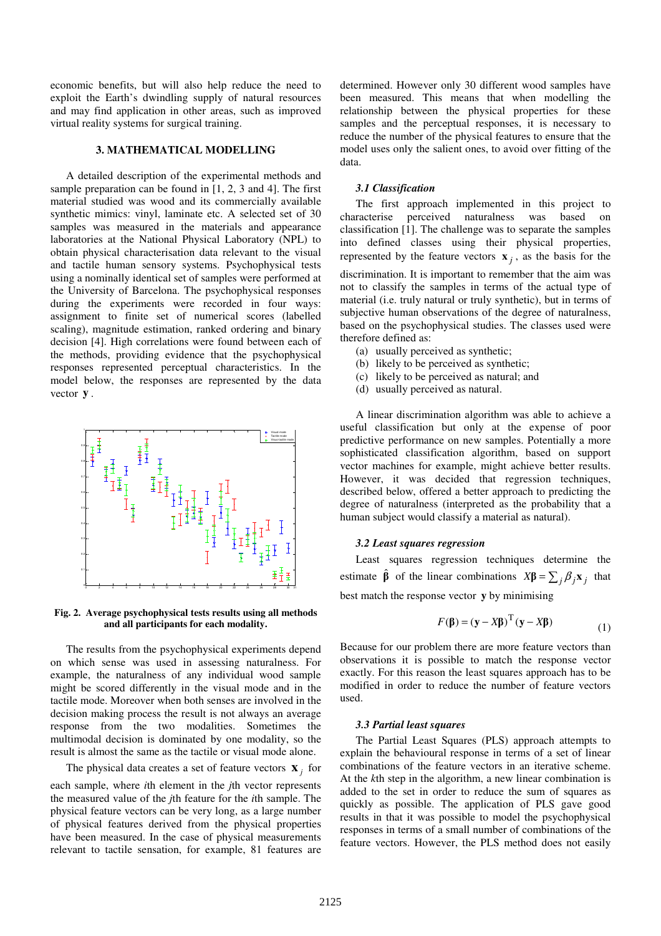economic benefits, but will also help reduce the need to exploit the Earth's dwindling supply of natural resources and may find application in other areas, such as improved virtual reality systems for surgical training.

#### **3. MATHEMATICAL MODELLING**

A detailed description of the experimental methods and sample preparation can be found in [1, 2, 3 and 4]. The first material studied was wood and its commercially available synthetic mimics: vinyl, laminate etc. A selected set of 30 samples was measured in the materials and appearance laboratories at the National Physical Laboratory (NPL) to obtain physical characterisation data relevant to the visual and tactile human sensory systems. Psychophysical tests using a nominally identical set of samples were performed at the University of Barcelona. The psychophysical responses during the experiments were recorded in four ways: assignment to finite set of numerical scores (labelled scaling), magnitude estimation, ranked ordering and binary decision [4]. High correlations were found between each of the methods, providing evidence that the psychophysical responses represented perceptual characteristics. In the model below, the responses are represented by the data vector **y** .



**Fig. 2. Average psychophysical tests results using all methods and all participants for each modality.** 

The results from the psychophysical experiments depend on which sense was used in assessing naturalness. For example, the naturalness of any individual wood sample might be scored differently in the visual mode and in the tactile mode. Moreover when both senses are involved in the decision making process the result is not always an average response from the two modalities. Sometimes the multimodal decision is dominated by one modality, so the result is almost the same as the tactile or visual mode alone.

The physical data creates a set of feature vectors  $\mathbf{x}_j$  for

each sample, where *i*th element in the *j*th vector represents the measured value of the *j*th feature for the *i*th sample. The physical feature vectors can be very long, as a large number of physical features derived from the physical properties have been measured. In the case of physical measurements relevant to tactile sensation, for example, 81 features are determined. However only 30 different wood samples have been measured. This means that when modelling the relationship between the physical properties for these samples and the perceptual responses, it is necessary to reduce the number of the physical features to ensure that the model uses only the salient ones, to avoid over fitting of the data.

#### *3.1 Classification*

The first approach implemented in this project to characterise perceived naturalness was based on classification [1]. The challenge was to separate the samples into defined classes using their physical properties, represented by the feature vectors  $\mathbf{x}_j$ , as the basis for the discrimination. It is important to remember that the aim was not to classify the samples in terms of the actual type of material (i.e. truly natural or truly synthetic), but in terms of subjective human observations of the degree of naturalness, based on the psychophysical studies. The classes used were therefore defined as:

- (a) usually perceived as synthetic;
- (b) likely to be perceived as synthetic;
- (c) likely to be perceived as natural; and
- (d) usually perceived as natural.

A linear discrimination algorithm was able to achieve a useful classification but only at the expense of poor predictive performance on new samples. Potentially a more sophisticated classification algorithm, based on support vector machines for example, might achieve better results. However, it was decided that regression techniques, described below, offered a better approach to predicting the degree of naturalness (interpreted as the probability that a human subject would classify a material as natural).

## *3.2 Least squares regression*

Least squares regression techniques determine the estimate  $\hat{\beta}$  of the linear combinations  $X\beta = \sum_j \beta_j \mathbf{x}_j$  that best match the response vector **y** by minimising

$$
F(\mathbf{\beta}) = (\mathbf{y} - X\mathbf{\beta})^{\mathrm{T}} (\mathbf{y} - X\mathbf{\beta})
$$
 (1)

Because for our problem there are more feature vectors than observations it is possible to match the response vector exactly. For this reason the least squares approach has to be modified in order to reduce the number of feature vectors used.

# *3.3 Partial least squares*

The Partial Least Squares (PLS) approach attempts to explain the behavioural response in terms of a set of linear combinations of the feature vectors in an iterative scheme. At the *k*th step in the algorithm, a new linear combination is added to the set in order to reduce the sum of squares as quickly as possible. The application of PLS gave good results in that it was possible to model the psychophysical responses in terms of a small number of combinations of the feature vectors. However, the PLS method does not easily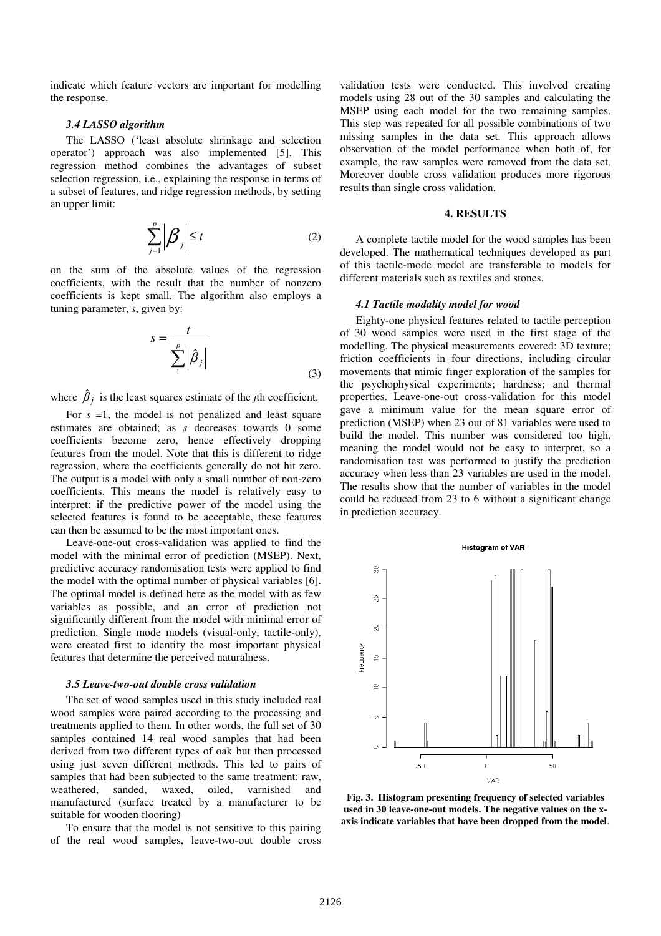indicate which feature vectors are important for modelling the response.

#### *3.4 LASSO algorithm*

The LASSO ('least absolute shrinkage and selection operator') approach was also implemented [5]. This regression method combines the advantages of subset selection regression, i.e., explaining the response in terms of a subset of features, and ridge regression methods, by setting an upper limit:

$$
\sum_{j=1}^{p} \left| \beta_j \right| \leq t \tag{2}
$$

on the sum of the absolute values of the regression coefficients, with the result that the number of nonzero coefficients is kept small. The algorithm also employs a tuning parameter, *s*, given by:

$$
s = \frac{t}{\sum_{i}^{p} |\hat{\beta}_i|}
$$
 (3)

where  $\hat{\beta}_j$  is the least squares estimate of the *j*th coefficient.

For  $s = 1$ , the model is not penalized and least square estimates are obtained; as *s* decreases towards 0 some coefficients become zero, hence effectively dropping features from the model. Note that this is different to ridge regression, where the coefficients generally do not hit zero. The output is a model with only a small number of non-zero coefficients. This means the model is relatively easy to interpret: if the predictive power of the model using the selected features is found to be acceptable, these features can then be assumed to be the most important ones.

Leave-one-out cross-validation was applied to find the model with the minimal error of prediction (MSEP). Next, predictive accuracy randomisation tests were applied to find the model with the optimal number of physical variables [6]. The optimal model is defined here as the model with as few variables as possible, and an error of prediction not significantly different from the model with minimal error of prediction. Single mode models (visual-only, tactile-only), were created first to identify the most important physical features that determine the perceived naturalness.

#### *3.5 Leave-two-out double cross validation*

The set of wood samples used in this study included real wood samples were paired according to the processing and treatments applied to them. In other words, the full set of 30 samples contained 14 real wood samples that had been derived from two different types of oak but then processed using just seven different methods. This led to pairs of samples that had been subjected to the same treatment: raw, weathered, sanded, waxed, oiled, varnished and manufactured (surface treated by a manufacturer to be suitable for wooden flooring)

To ensure that the model is not sensitive to this pairing of the real wood samples, leave-two-out double cross validation tests were conducted. This involved creating models using 28 out of the 30 samples and calculating the MSEP using each model for the two remaining samples. This step was repeated for all possible combinations of two missing samples in the data set. This approach allows observation of the model performance when both of, for example, the raw samples were removed from the data set. Moreover double cross validation produces more rigorous results than single cross validation.

# **4. RESULTS**

A complete tactile model for the wood samples has been developed. The mathematical techniques developed as part of this tactile-mode model are transferable to models for different materials such as textiles and stones.

#### *4.1 Tactile modality model for wood*

Eighty-one physical features related to tactile perception of 30 wood samples were used in the first stage of the modelling. The physical measurements covered: 3D texture; friction coefficients in four directions, including circular movements that mimic finger exploration of the samples for the psychophysical experiments; hardness; and thermal properties. Leave-one-out cross-validation for this model gave a minimum value for the mean square error of prediction (MSEP) when 23 out of 81 variables were used to build the model. This number was considered too high, meaning the model would not be easy to interpret, so a randomisation test was performed to justify the prediction accuracy when less than 23 variables are used in the model. The results show that the number of variables in the model could be reduced from 23 to 6 without a significant change in prediction accuracy.



**Fig. 3. Histogram presenting frequency of selected variables used in 30 leave-one-out models. The negative values on the xaxis indicate variables that have been dropped from the model**.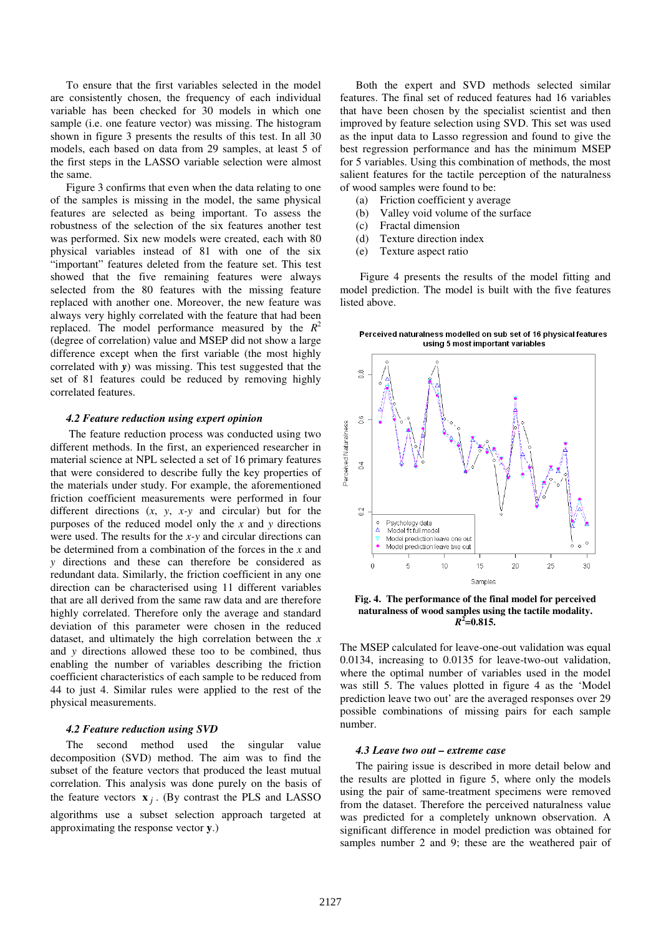To ensure that the first variables selected in the model are consistently chosen, the frequency of each individual variable has been checked for 30 models in which one sample (i.e. one feature vector) was missing. The histogram shown in figure 3 presents the results of this test. In all 30 models, each based on data from 29 samples, at least 5 of the first steps in the LASSO variable selection were almost the same.

Figure 3 confirms that even when the data relating to one of the samples is missing in the model, the same physical features are selected as being important. To assess the robustness of the selection of the six features another test was performed. Six new models were created, each with 80 physical variables instead of 81 with one of the six "important" features deleted from the feature set. This test showed that the five remaining features were always selected from the 80 features with the missing feature replaced with another one. Moreover, the new feature was always very highly correlated with the feature that had been replaced. The model performance measured by the  $R^2$ (degree of correlation) value and MSEP did not show a large difference except when the first variable (the most highly correlated with *y*) was missing. This test suggested that the set of 81 features could be reduced by removing highly correlated features.

#### *4.2 Feature reduction using expert opinion*

 The feature reduction process was conducted using two different methods. In the first, an experienced researcher in material science at NPL selected a set of 16 primary features that were considered to describe fully the key properties of the materials under study. For example, the aforementioned friction coefficient measurements were performed in four different directions (*x*, *y*, *x-y* and circular) but for the purposes of the reduced model only the *x* and *y* directions were used. The results for the *x-y* and circular directions can be determined from a combination of the forces in the *x* and *y* directions and these can therefore be considered as redundant data. Similarly, the friction coefficient in any one direction can be characterised using 11 different variables that are all derived from the same raw data and are therefore highly correlated. Therefore only the average and standard deviation of this parameter were chosen in the reduced dataset, and ultimately the high correlation between the *x* and *y* directions allowed these too to be combined, thus enabling the number of variables describing the friction coefficient characteristics of each sample to be reduced from 44 to just 4. Similar rules were applied to the rest of the physical measurements.

#### *4.2 Feature reduction using SVD*

The second method used the singular value decomposition (SVD) method. The aim was to find the subset of the feature vectors that produced the least mutual correlation. This analysis was done purely on the basis of the feature vectors  $\mathbf{x}_j$ . (By contrast the PLS and LASSO algorithms use a subset selection approach targeted at approximating the response vector **y**.)

Both the expert and SVD methods selected similar features. The final set of reduced features had 16 variables that have been chosen by the specialist scientist and then improved by feature selection using SVD. This set was used as the input data to Lasso regression and found to give the best regression performance and has the minimum MSEP for 5 variables. Using this combination of methods, the most salient features for the tactile perception of the naturalness of wood samples were found to be:

- (a) Friction coefficient y average
- (b) Valley void volume of the surface
- (c) Fractal dimension
- (d) Texture direction index
- (e) Texture aspect ratio

Figure 4 presents the results of the model fitting and model prediction. The model is built with the five features listed above.

Perceived naturalness modelled on sub set of 16 physical features using 5 most important variables



**Fig. 4. The performance of the final model for perceived naturalness of wood samples using the tactile modality.**   $R^2$ =0.815.

The MSEP calculated for leave-one-out validation was equal 0.0134, increasing to 0.0135 for leave-two-out validation, where the optimal number of variables used in the model was still 5. The values plotted in figure 4 as the 'Model prediction leave two out' are the averaged responses over 29 possible combinations of missing pairs for each sample number.

#### *4.3 Leave two out – extreme case*

The pairing issue is described in more detail below and the results are plotted in figure 5, where only the models using the pair of same-treatment specimens were removed from the dataset. Therefore the perceived naturalness value was predicted for a completely unknown observation. A significant difference in model prediction was obtained for samples number 2 and 9; these are the weathered pair of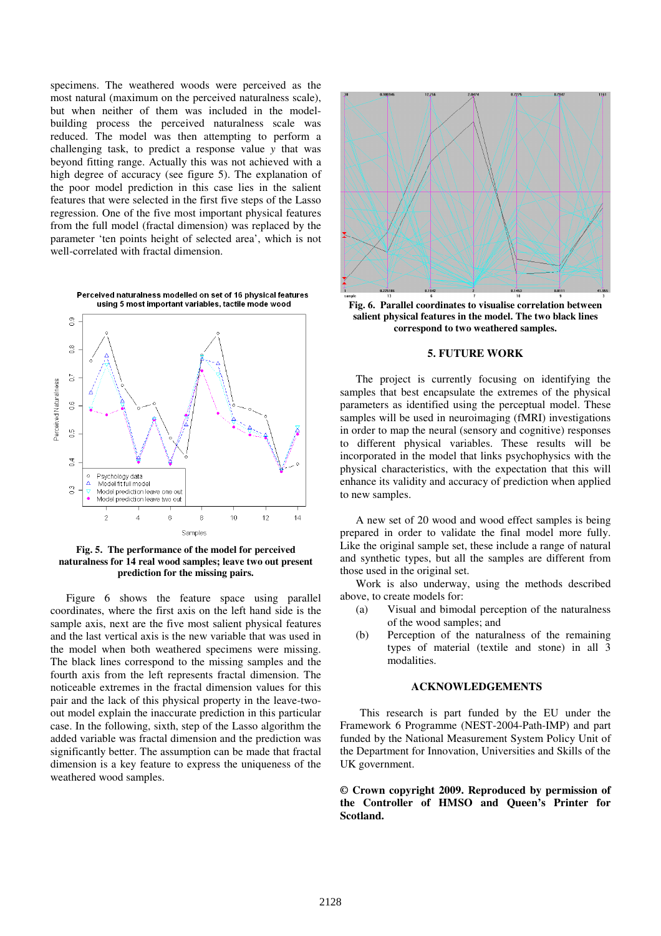specimens. The weathered woods were perceived as the most natural (maximum on the perceived naturalness scale), but when neither of them was included in the modelbuilding process the perceived naturalness scale was reduced. The model was then attempting to perform a challenging task, to predict a response value *y* that was beyond fitting range. Actually this was not achieved with a high degree of accuracy (see figure 5). The explanation of the poor model prediction in this case lies in the salient features that were selected in the first five steps of the Lasso regression. One of the five most important physical features from the full model (fractal dimension) was replaced by the parameter 'ten points height of selected area', which is not well-correlated with fractal dimension.



**Fig. 5. The performance of the model for perceived naturalness for 14 real wood samples; leave two out present prediction for the missing pairs.**

Figure 6 shows the feature space using parallel coordinates, where the first axis on the left hand side is the sample axis, next are the five most salient physical features and the last vertical axis is the new variable that was used in the model when both weathered specimens were missing. The black lines correspond to the missing samples and the fourth axis from the left represents fractal dimension. The noticeable extremes in the fractal dimension values for this pair and the lack of this physical property in the leave-twoout model explain the inaccurate prediction in this particular case. In the following, sixth, step of the Lasso algorithm the added variable was fractal dimension and the prediction was significantly better. The assumption can be made that fractal dimension is a key feature to express the uniqueness of the weathered wood samples.



**Fig. 6. Parallel coordinates to visualise correlation between salient physical features in the model. The two black lines correspond to two weathered samples.** 

# **5. FUTURE WORK**

The project is currently focusing on identifying the samples that best encapsulate the extremes of the physical parameters as identified using the perceptual model. These samples will be used in neuroimaging (fMRI) investigations in order to map the neural (sensory and cognitive) responses to different physical variables. These results will be incorporated in the model that links psychophysics with the physical characteristics, with the expectation that this will enhance its validity and accuracy of prediction when applied to new samples.

A new set of 20 wood and wood effect samples is being prepared in order to validate the final model more fully. Like the original sample set, these include a range of natural and synthetic types, but all the samples are different from those used in the original set.

Work is also underway, using the methods described above, to create models for:

- (a) Visual and bimodal perception of the naturalness of the wood samples; and
- (b) Perception of the naturalness of the remaining types of material (textile and stone) in all 3 modalities.

## **ACKNOWLEDGEMENTS**

This research is part funded by the EU under the Framework 6 Programme (NEST-2004-Path-IMP) and part funded by the National Measurement System Policy Unit of the Department for Innovation, Universities and Skills of the UK government.

**© Crown copyright 2009. Reproduced by permission of the Controller of HMSO and Queen's Printer for Scotland.**